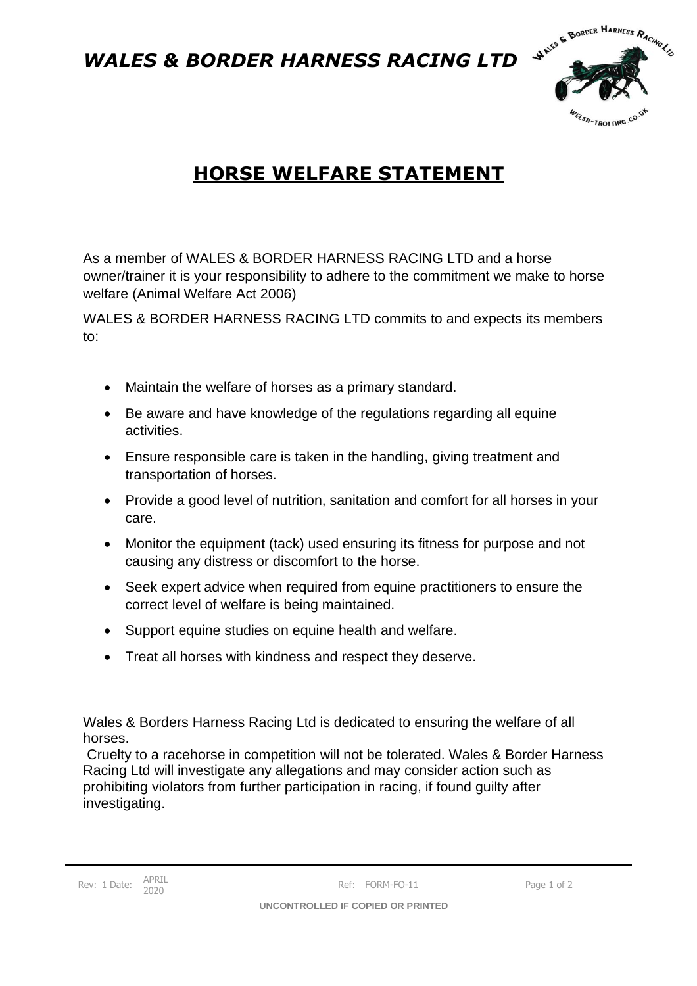*WALES & BORDER HARNESS RACING LTD*



## **HORSE WELFARE STATEMENT**

As a member of WALES & BORDER HARNESS RACING LTD and a horse owner/trainer it is your responsibility to adhere to the commitment we make to horse welfare (Animal Welfare Act 2006)

WALES & BORDER HARNESS RACING LTD commits to and expects its members to:

- Maintain the welfare of horses as a primary standard.
- Be aware and have knowledge of the regulations regarding all equine activities.
- Ensure responsible care is taken in the handling, giving treatment and transportation of horses.
- Provide a good level of nutrition, sanitation and comfort for all horses in your care.
- Monitor the equipment (tack) used ensuring its fitness for purpose and not causing any distress or discomfort to the horse.
- Seek expert advice when required from equine practitioners to ensure the correct level of welfare is being maintained.
- Support equine studies on equine health and welfare.
- Treat all horses with kindness and respect they deserve.

Wales & Borders Harness Racing Ltd is dedicated to ensuring the welfare of all horses.

Cruelty to a racehorse in competition will not be tolerated. Wales & Border Harness Racing Ltd will investigate any allegations and may consider action such as prohibiting violators from further participation in racing, if found guilty after investigating.